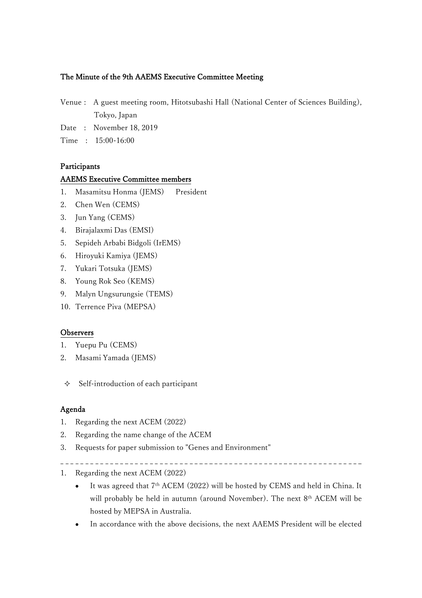# The Minute of the 9th AAEMS Executive Committee Meeting

- Venue : A guest meeting room, Hitotsubashi Hall (National Center of Sciences Building), Tokyo, Japan
- Date : November 18, 2019
- Time : 15:00-16:00

## Participants

## AAEMS Executive Committee members

- 1. Masamitsu Honma (JEMS) President
- 2. Chen Wen (CEMS)
- 3. Jun Yang (CEMS)
- 4. Birajalaxmi Das (EMSI)
- 5. Sepideh Arbabi Bidgoli (IrEMS)
- 6. Hiroyuki Kamiya (JEMS)
- 7. Yukari Totsuka (JEMS)
- 8. Young Rok Seo (KEMS)
- 9. Malyn Ungsurungsie (TEMS)
- 10. Terrence Piva (MEPSA)

### **Observers**

- 1. Yuepu Pu (CEMS)
- 2. Masami Yamada (JEMS)
- $\triangle$  Self-introduction of each participant

### Agenda

- 1. Regarding the next ACEM (2022)
- 2. Regarding the name change of the ACEM
- 3. Requests for paper submission to "Genes and Environment"
- 
- 1. Regarding the next ACEM (2022)
	- It was agreed that 7<sup>th</sup> ACEM (2022) will be hosted by CEMS and held in China. It will probably be held in autumn (around November). The next 8th ACEM will be hosted by MEPSA in Australia.
	- In accordance with the above decisions, the next AAEMS President will be elected